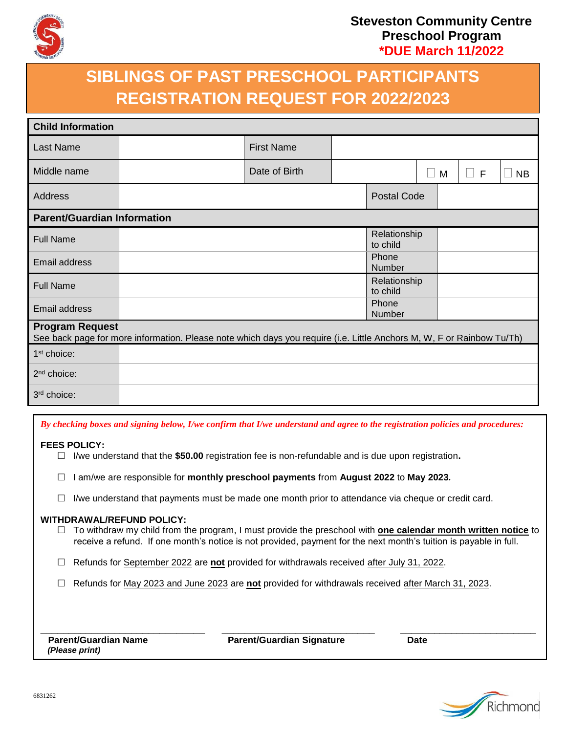

### **Steveston Community Centre Preschool Program \*DUE March 11/2022**

# **SIBLINGS OF PAST PRESCHOOL PARTICIPANTS REGISTRATION REQUEST FOR 2022/2023**

| <b>Child Information</b>                                                                                                                        |  |                   |  |                          |              |   |             |           |
|-------------------------------------------------------------------------------------------------------------------------------------------------|--|-------------------|--|--------------------------|--------------|---|-------------|-----------|
| Last Name                                                                                                                                       |  | <b>First Name</b> |  |                          |              |   |             |           |
| Middle name                                                                                                                                     |  | Date of Birth     |  |                          | $\mathbf{L}$ | M | F<br>$\Box$ | <b>NB</b> |
| Address                                                                                                                                         |  |                   |  | <b>Postal Code</b>       |              |   |             |           |
| <b>Parent/Guardian Information</b>                                                                                                              |  |                   |  |                          |              |   |             |           |
| <b>Full Name</b>                                                                                                                                |  |                   |  | Relationship<br>to child |              |   |             |           |
| Email address                                                                                                                                   |  |                   |  | Phone<br>Number          |              |   |             |           |
| <b>Full Name</b>                                                                                                                                |  |                   |  | Relationship<br>to child |              |   |             |           |
| Email address                                                                                                                                   |  |                   |  | Phone<br>Number          |              |   |             |           |
| <b>Program Request</b><br>See back page for more information. Please note which days you require (i.e. Little Anchors M, W, F or Rainbow Tu/Th) |  |                   |  |                          |              |   |             |           |
| 1 <sup>st</sup> choice:                                                                                                                         |  |                   |  |                          |              |   |             |           |
| 2 <sup>nd</sup> choice:                                                                                                                         |  |                   |  |                          |              |   |             |           |
| 3rd choice:                                                                                                                                     |  |                   |  |                          |              |   |             |           |

| By checking boxes and signing below, I/we confirm that I/we understand and agree to the registration policies and procedures:                                                                                                                                          |  |  |  |  |  |
|------------------------------------------------------------------------------------------------------------------------------------------------------------------------------------------------------------------------------------------------------------------------|--|--|--|--|--|
| <b>FEES POLICY:</b><br>I/we understand that the \$50.00 registration fee is non-refundable and is due upon registration.                                                                                                                                               |  |  |  |  |  |
| am/we are responsible for monthly preschool payments from August 2022 to May 2023.                                                                                                                                                                                     |  |  |  |  |  |
| I/we understand that payments must be made one month prior to attendance via cheque or credit card.                                                                                                                                                                    |  |  |  |  |  |
| <b>WITHDRAWAL/REFUND POLICY:</b><br>To withdraw my child from the program, I must provide the preschool with one calendar month written notice to<br>receive a refund. If one month's notice is not provided, payment for the next month's tuition is payable in full. |  |  |  |  |  |
| Refunds for September 2022 are not provided for withdrawals received after July 31, 2022.                                                                                                                                                                              |  |  |  |  |  |
| Refunds for May 2023 and June 2023 are not provided for withdrawals received after March 31, 2023.                                                                                                                                                                     |  |  |  |  |  |
|                                                                                                                                                                                                                                                                        |  |  |  |  |  |
| <b>Parent/Guardian Name</b><br><b>Parent/Guardian Signature</b><br><b>Date</b><br>(Please print)                                                                                                                                                                       |  |  |  |  |  |